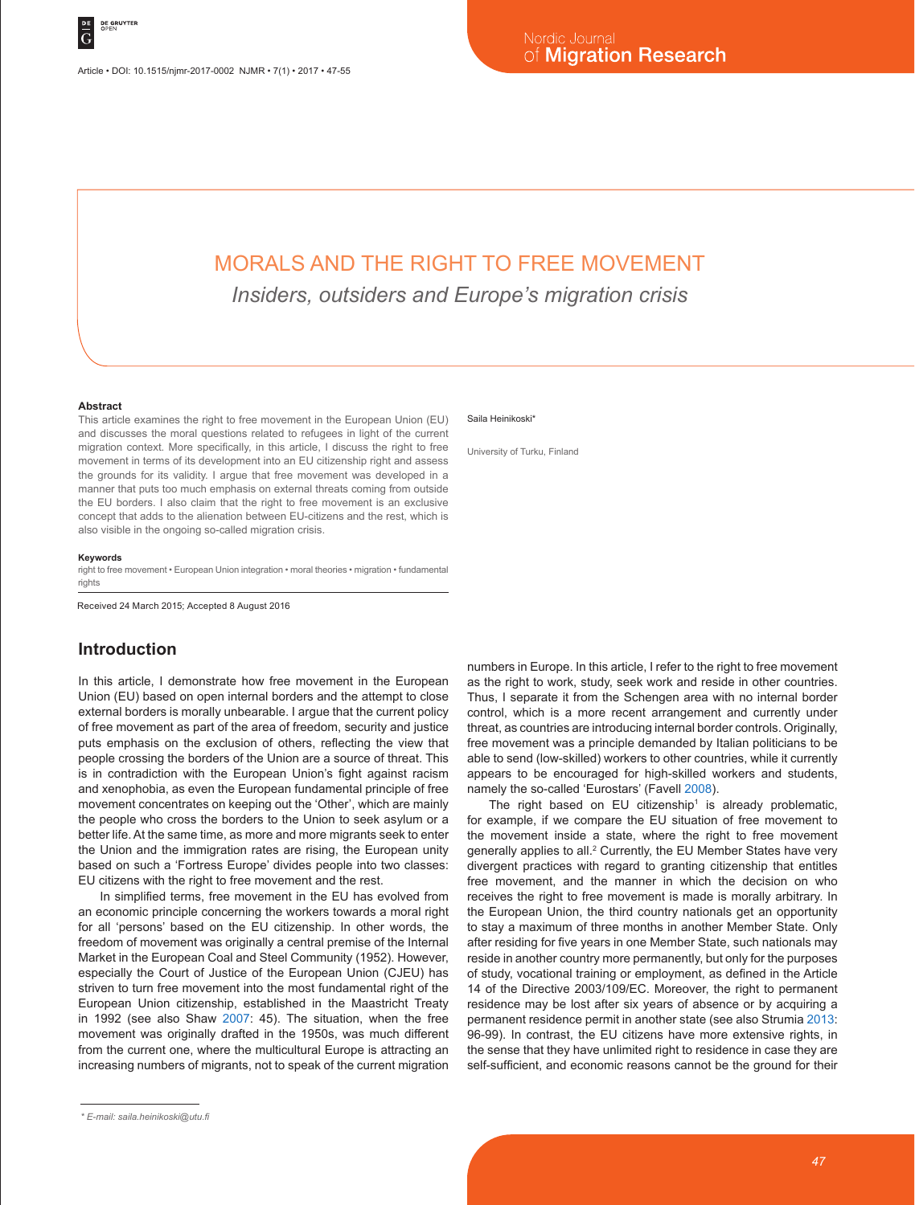# MORALS AND THE RIGHT TO FREE MOVEMENT

*Insiders, outsiders and Europe's migration crisis*

#### **Abstract**

This article examines the right to free movement in the European Union (EU) and discusses the moral questions related to refugees in light of the current migration context. More specifically, in this article, I discuss the right to free movement in terms of its development into an EU citizenship right and assess the grounds for its validity. I argue that free movement was developed in a manner that puts too much emphasis on external threats coming from outside the EU borders. I also claim that the right to free movement is an exclusive concept that adds to the alienation between EU-citizens and the rest, which is also visible in the ongoing so-called migration crisis.

### **Keywords**

right to free movement • European Union integration • moral theories • migration • fundamental rights

Received 24 March 2015; Accepted 8 August 2016

# **Introduction**

In this article, I demonstrate how free movement in the European Union (EU) based on open internal borders and the attempt to close external borders is morally unbearable. I argue that the current policy of free movement as part of the area of freedom, security and justice puts emphasis on the exclusion of others, reflecting the view that people crossing the borders of the Union are a source of threat. This is in contradiction with the European Union's fight against racism and xenophobia, as even the European fundamental principle of free movement concentrates on keeping out the 'Other', which are mainly the people who cross the borders to the Union to seek asylum or a better life. At the same time, as more and more migrants seek to enter the Union and the immigration rates are rising, the European unity based on such a 'Fortress Europe' divides people into two classes: EU citizens with the right to free movement and the rest.

In simplified terms, free movement in the EU has evolved from an economic principle concerning the workers towards a moral right for all 'persons' based on the EU citizenship. In other words, the freedom of movement was originally a central premise of the Internal Market in the European Coal and Steel Community (1952). However, especially the Court of Justice of the European Union (CJEU) has striven to turn free movement into the most fundamental right of the European Union citizenship, established in the Maastricht Treaty in 1992 (see also Shaw 2007: 45). The situation, when the free movement was originally drafted in the 1950s, was much different from the current one, where the multicultural Europe is attracting an increasing numbers of migrants, not to speak of the current migration

#### Saila Heinikoski<sup>\*</sup>

University of Turku, Finland

numbers in Europe. In this article, I refer to the right to free movement as the right to work, study, seek work and reside in other countries. Thus, I separate it from the Schengen area with no internal border control, which is a more recent arrangement and currently under threat, as countries are introducing internal border controls. Originally, free movement was a principle demanded by Italian politicians to be able to send (low-skilled) workers to other countries, while it currently appears to be encouraged for high-skilled workers and students, namely the so-called 'Eurostars' (Favell 2008).

The right based on  $EU$  citizenship<sup>1</sup> is already problematic, for example, if we compare the EU situation of free movement to the movement inside a state, where the right to free movement generally applies to all.<sup>2</sup> Currently, the EU Member States have very divergent practices with regard to granting citizenship that entitles free movement, and the manner in which the decision on who receives the right to free movement is made is morally arbitrary. In the European Union, the third country nationals get an opportunity to stay a maximum of three months in another Member State. Only after residing for five years in one Member State, such nationals may reside in another country more permanently, but only for the purposes of study, vocational training or employment, as defined in the Article 14 of the Directive 2003/109/EC. Moreover, the right to permanent residence may be lost after six years of absence or by acquiring a permanent residence permit in another state (see also Strumia 2013: 96-99). In contrast, the EU citizens have more extensive rights, in the sense that they have unlimited right to residence in case they are self-sufficient, and economic reasons cannot be the ground for their

*<sup>\*</sup> E-mail: saila.heinikoski@utu.fi*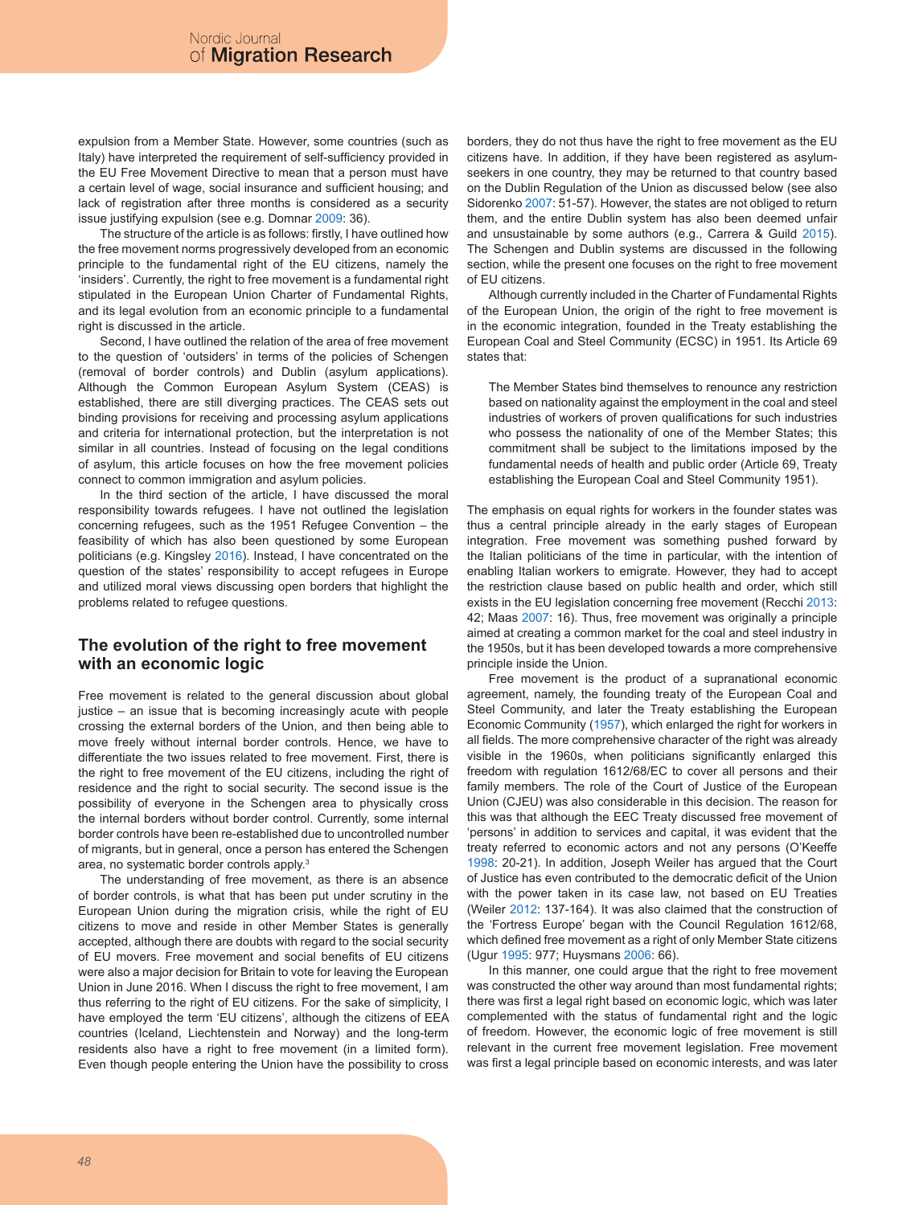expulsion from a Member State. However, some countries (such as Italy) have interpreted the requirement of self-sufficiency provided in the EU Free Movement Directive to mean that a person must have a certain level of wage, social insurance and sufficient housing; and lack of registration after three months is considered as a security issue justifying expulsion (see e.g. Domnar 2009: 36).

The structure of the article is as follows: firstly, I have outlined how the free movement norms progressively developed from an economic principle to the fundamental right of the EU citizens, namely the 'insiders'. Currently, the right to free movement is a fundamental right stipulated in the European Union Charter of Fundamental Rights, and its legal evolution from an economic principle to a fundamental right is discussed in the article.

Second, I have outlined the relation of the area of free movement to the question of 'outsiders' in terms of the policies of Schengen (removal of border controls) and Dublin (asylum applications). Although the Common European Asylum System (CEAS) is established, there are still diverging practices. The CEAS sets out binding provisions for receiving and processing asylum applications and criteria for international protection, but the interpretation is not similar in all countries. Instead of focusing on the legal conditions of asylum, this article focuses on how the free movement policies connect to common immigration and asylum policies.

In the third section of the article, I have discussed the moral responsibility towards refugees. I have not outlined the legislation concerning refugees, such as the 1951 Refugee Convention – the feasibility of which has also been questioned by some European politicians (e.g. Kingsley 2016). Instead, I have concentrated on the question of the states' responsibility to accept refugees in Europe and utilized moral views discussing open borders that highlight the problems related to refugee questions.

# **The evolution of the right to free movement with an economic logic**

Free movement is related to the general discussion about global  $justice - an issue that is becoming increasingly acute with people$ crossing the external borders of the Union, and then being able to move freely without internal border controls. Hence, we have to differentiate the two issues related to free movement. First, there is the right to free movement of the EU citizens, including the right of residence and the right to social security. The second issue is the possibility of everyone in the Schengen area to physically cross the internal borders without border control. Currently, some internal border controls have been re-established due to uncontrolled number of migrants, but in general, once a person has entered the Schengen area, no systematic border controls apply.3

The understanding of free movement, as there is an absence of border controls, is what that has been put under scrutiny in the European Union during the migration crisis, while the right of EU citizens to move and reside in other Member States is generally accepted, although there are doubts with regard to the social security of EU movers. Free movement and social benefits of EU citizens were also a major decision for Britain to vote for leaving the European Union in June 2016. When I discuss the right to free movement, I am thus referring to the right of EU citizens. For the sake of simplicity, I have employed the term 'EU citizens', although the citizens of EEA countries (Iceland, Liechtenstein and Norway) and the long-term residents also have a right to free movement (in a limited form). Even though people entering the Union have the possibility to cross

borders, they do not thus have the right to free movement as the EU citizens have. In addition, if they have been registered as asylumseekers in one country, they may be returned to that country based on the Dublin Regulation of the Union as discussed below (see also Sidorenko 2007: 51-57). However, the states are not obliged to return them, and the entire Dublin system has also been deemed unfair and unsustainable by some authors (e.g., Carrera & Guild 2015). The Schengen and Dublin systems are discussed in the following section, while the present one focuses on the right to free movement of EU citizens.

Although currently included in the Charter of Fundamental Rights of the European Union, the origin of the right to free movement is in the economic integration, founded in the Treaty establishing the European Coal and Steel Community (ECSC) in 1951. Its Article 69 states that:

The Member States bind themselves to renounce any restriction based on nationality against the employment in the coal and steel industries of workers of proven qualifications for such industries who possess the nationality of one of the Member States; this commitment shall be subject to the limitations imposed by the fundamental needs of health and public order (Article 69, Treaty establishing the European Coal and Steel Community 1951).

The emphasis on equal rights for workers in the founder states was thus a central principle already in the early stages of European integration. Free movement was something pushed forward by the Italian politicians of the time in particular, with the intention of enabling Italian workers to emigrate. However, they had to accept the restriction clause based on public health and order, which still exists in the EU legislation concerning free movement (Recchi 2013: 42; Maas 2007: 16). Thus, free movement was originally a principle aimed at creating a common market for the coal and steel industry in the 1950s, but it has been developed towards a more comprehensive principle inside the Union.

Free movement is the product of a supranational economic agreement, namely, the founding treaty of the European Coal and Steel Community, and later the Treaty establishing the European Economic Community (1957), which enlarged the right for workers in all fields. The more comprehensive character of the right was already visible in the 1960s, when politicians significantly enlarged this freedom with regulation 1612/68/EC to cover all persons and their family members. The role of the Court of Justice of the European Union (CJEU) was also considerable in this decision. The reason for this was that although the EEC Treaty discussed free movement of 'persons' in addition to services and capital, it was evident that the treaty referred to economic actors and not any persons (O'Keeffe 1998: 20-21). In addition, Joseph Weiler has argued that the Court of Justice has even contributed to the democratic deficit of the Union with the power taken in its case law, not based on EU Treaties (Weiler 2012: 137-164). It was also claimed that the construction of the 'Fortress Europe' began with the Council Regulation 1612/68, which defined free movement as a right of only Member State citizens (Ugur 1995: 977; Huysmans 2006: 66).

In this manner, one could argue that the right to free movement was constructed the other way around than most fundamental rights; there was first a legal right based on economic logic, which was later complemented with the status of fundamental right and the logic of freedom. However, the economic logic of free movement is still relevant in the current free movement legislation. Free movement was first a legal principle based on economic interests, and was later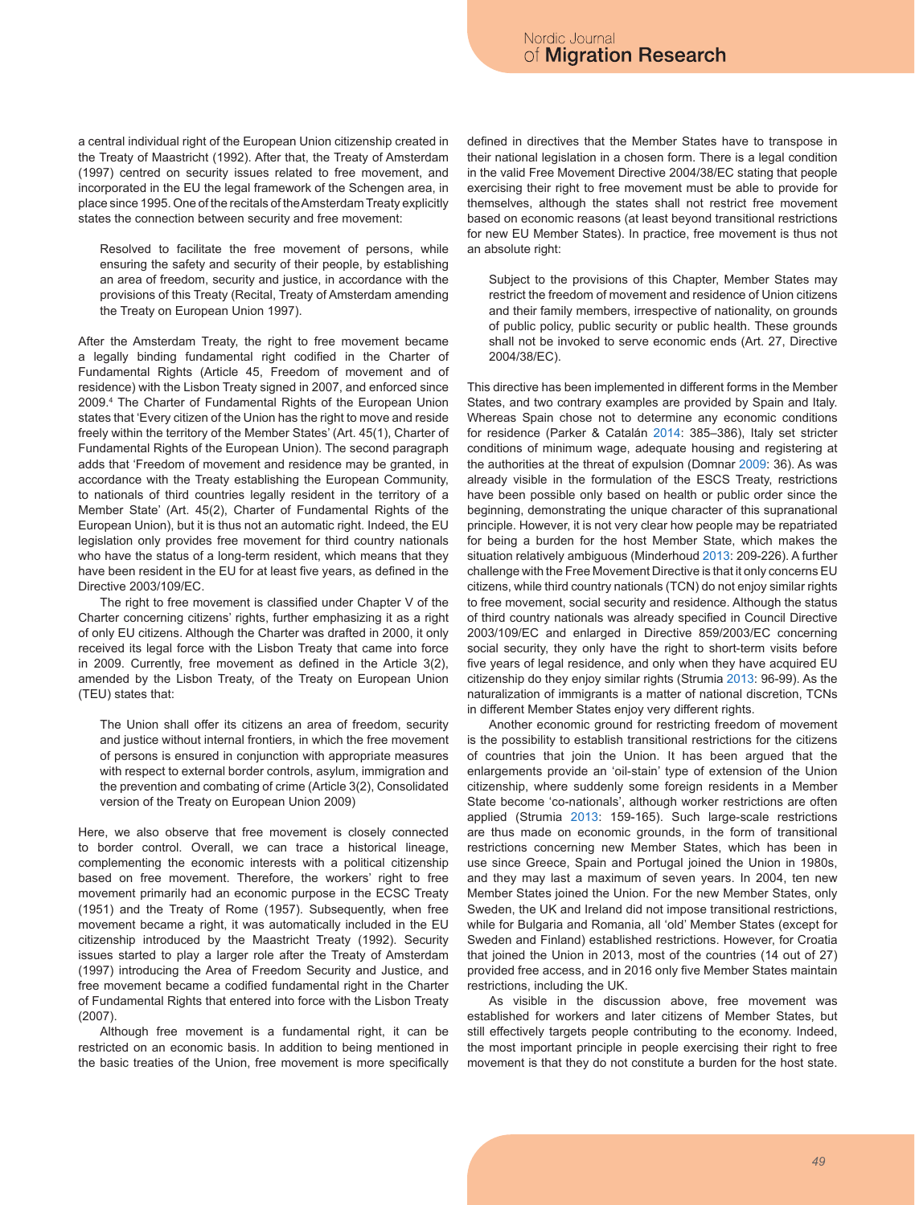a central individual right of the European Union citizenship created in the Treaty of Maastricht (1992). After that, the Treaty of Amsterdam (1997) centred on security issues related to free movement, and incorporated in the EU the legal framework of the Schengen area, in place since 1995. One of the recitals of the Amsterdam Treaty explicitly states the connection between security and free movement:

Resolved to facilitate the free movement of persons, while ensuring the safety and security of their people, by establishing an area of freedom, security and justice, in accordance with the provisions of this Treaty (Recital, Treaty of Amsterdam amending the Treaty on European Union 1997).

After the Amsterdam Treaty, the right to free movement became a legally binding fundamental right codified in the Charter of Fundamental Rights (Article 45, Freedom of movement and of residence) with the Lisbon Treaty signed in 2007, and enforced since 2009.4 The Charter of Fundamental Rights of the European Union states that 'Every citizen of the Union has the right to move and reside freely within the territory of the Member States' (Art. 45(1), Charter of Fundamental Rights of the European Union). The second paragraph adds that 'Freedom of movement and residence may be granted, in accordance with the Treaty establishing the European Community, to nationals of third countries legally resident in the territory of a Member State' (Art. 45(2), Charter of Fundamental Rights of the European Union), but it is thus not an automatic right. Indeed, the EU legislation only provides free movement for third country nationals who have the status of a long-term resident, which means that they have been resident in the EU for at least five years, as defined in the Directive 2003/109/EC.

The right to free movement is classified under Chapter V of the Charter concerning citizens' rights, further emphasizing it as a right of only EU citizens. Although the Charter was drafted in 2000, it only received its legal force with the Lisbon Treaty that came into force in 2009. Currently, free movement as defined in the Article 3(2), amended by the Lisbon Treaty, of the Treaty on European Union (TEU) states that:

The Union shall offer its citizens an area of freedom, security and justice without internal frontiers, in which the free movement of persons is ensured in conjunction with appropriate measures with respect to external border controls, asylum, immigration and the prevention and combating of crime (Article 3(2), Consolidated version of the Treaty on European Union 2009)

Here, we also observe that free movement is closely connected to border control. Overall, we can trace a historical lineage, complementing the economic interests with a political citizenship based on free movement. Therefore, the workers' right to free movement primarily had an economic purpose in the ECSC Treaty (1951) and the Treaty of Rome (1957). Subsequently, when free movement became a right, it was automatically included in the EU citizenship introduced by the Maastricht Treaty (1992). Security issues started to play a larger role after the Treaty of Amsterdam (1997) introducing the Area of Freedom Security and Justice, and free movement became a codified fundamental right in the Charter of Fundamental Rights that entered into force with the Lisbon Treaty (2007).

Although free movement is a fundamental right, it can be restricted on an economic basis. In addition to being mentioned in the basic treaties of the Union, free movement is more specifically defined in directives that the Member States have to transpose in their national legislation in a chosen form. There is a legal condition in the valid Free Movement Directive 2004/38/EC stating that people exercising their right to free movement must be able to provide for themselves, although the states shall not restrict free movement based on economic reasons (at least beyond transitional restrictions for new EU Member States). In practice, free movement is thus not an absolute right:

Subject to the provisions of this Chapter, Member States may restrict the freedom of movement and residence of Union citizens and their family members, irrespective of nationality, on grounds of public policy, public security or public health. These grounds shall not be invoked to serve economic ends (Art. 27, Directive 2004/38/EC).

This directive has been implemented in different forms in the Member States, and two contrary examples are provided by Spain and Italy. Whereas Spain chose not to determine any economic conditions for residence (Parker & Catalán 2014: 385–386), Italy set stricter conditions of minimum wage, adequate housing and registering at the authorities at the threat of expulsion (Domnar 2009: 36). As was already visible in the formulation of the ESCS Treaty, restrictions have been possible only based on health or public order since the beginning, demonstrating the unique character of this supranational principle. However, it is not very clear how people may be repatriated for being a burden for the host Member State, which makes the situation relatively ambiguous (Minderhoud 2013: 209-226). A further challenge with the Free Movement Directive is that it only concerns EU citizens, while third country nationals (TCN) do not enjoy similar rights to free movement, social security and residence. Although the status of third country nationals was already specified in Council Directive 2003/109/EC and enlarged in Directive 859/2003/EC concerning social security, they only have the right to short-term visits before five years of legal residence, and only when they have acquired EU citizenship do they enjoy similar rights (Strumia 2013: 96-99). As the naturalization of immigrants is a matter of national discretion, TCNs in different Member States enjoy very different rights.

Another economic ground for restricting freedom of movement is the possibility to establish transitional restrictions for the citizens of countries that join the Union. It has been argued that the enlargements provide an 'oil-stain' type of extension of the Union citizenship, where suddenly some foreign residents in a Member State become 'co-nationals', although worker restrictions are often applied (Strumia 2013: 159-165). Such large-scale restrictions are thus made on economic grounds, in the form of transitional restrictions concerning new Member States, which has been in use since Greece, Spain and Portugal joined the Union in 1980s, and they may last a maximum of seven years. In 2004, ten new Member States joined the Union. For the new Member States, only Sweden, the UK and Ireland did not impose transitional restrictions, while for Bulgaria and Romania, all 'old' Member States (except for Sweden and Finland) established restrictions. However, for Croatia that joined the Union in 2013, most of the countries (14 out of 27) provided free access, and in 2016 only five Member States maintain restrictions, including the UK.

As visible in the discussion above, free movement was established for workers and later citizens of Member States, but still effectively targets people contributing to the economy. Indeed, the most important principle in people exercising their right to free movement is that they do not constitute a burden for the host state.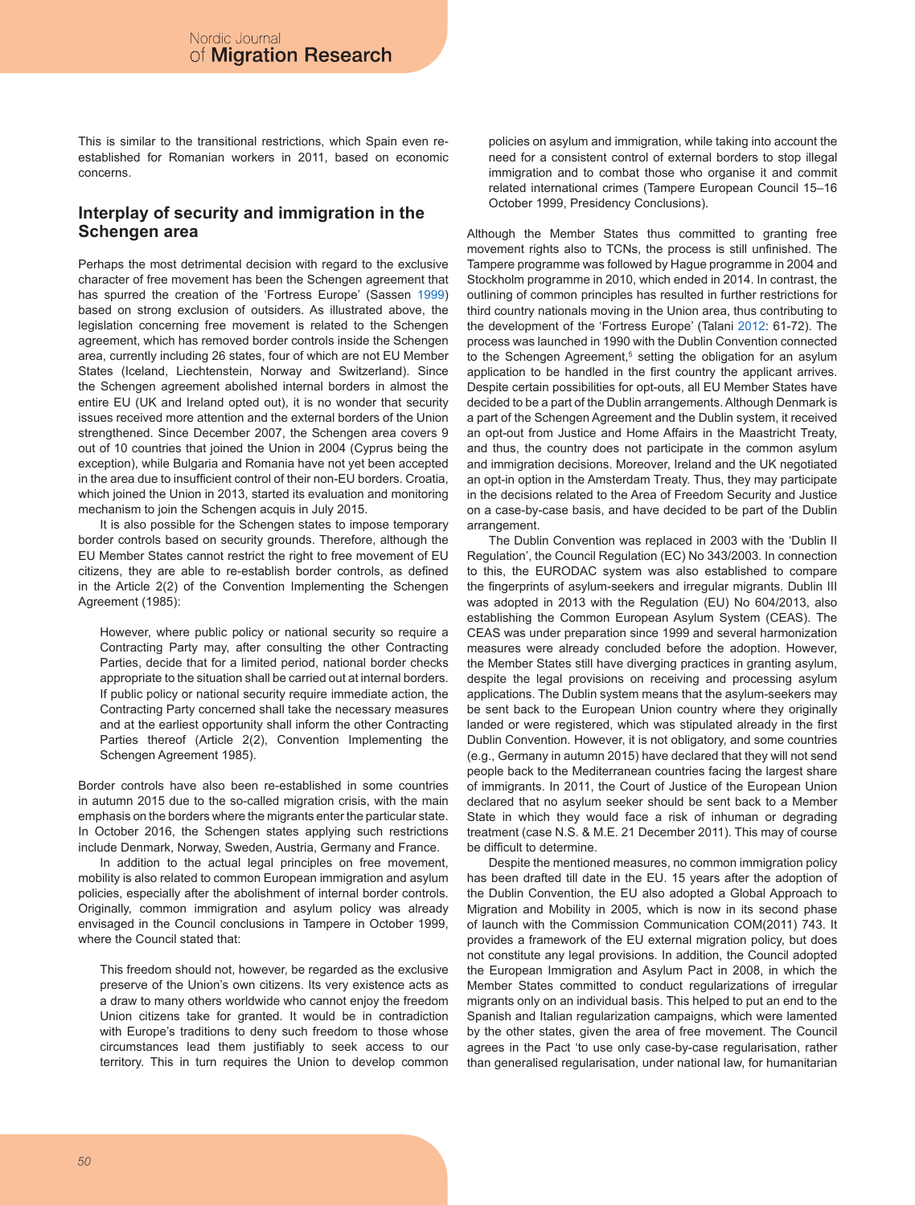This is similar to the transitional restrictions, which Spain even reestablished for Romanian workers in 2011, based on economic concerns.

# **Interplay of security and immigration in the Schengen area**

Perhaps the most detrimental decision with regard to the exclusive character of free movement has been the Schengen agreement that has spurred the creation of the 'Fortress Europe' (Sassen 1999) based on strong exclusion of outsiders. As illustrated above, the legislation concerning free movement is related to the Schengen agreement, which has removed border controls inside the Schengen area, currently including 26 states, four of which are not EU Member States (Iceland, Liechtenstein, Norway and Switzerland). Since the Schengen agreement abolished internal borders in almost the entire EU (UK and Ireland opted out), it is no wonder that security issues received more attention and the external borders of the Union strengthened. Since December 2007, the Schengen area covers 9 out of 10 countries that joined the Union in 2004 (Cyprus being the exception), while Bulgaria and Romania have not yet been accepted in the area due to insufficient control of their non-EU borders. Croatia, which joined the Union in 2013, started its evaluation and monitoring mechanism to join the Schengen acquis in July 2015.

It is also possible for the Schengen states to impose temporary border controls based on security grounds. Therefore, although the EU Member States cannot restrict the right to free movement of EU citizens, they are able to re-establish border controls, as defined in the Article 2(2) of the Convention Implementing the Schengen Agreement (1985):

However, where public policy or national security so require a Contracting Party may, after consulting the other Contracting Parties, decide that for a limited period, national border checks appropriate to the situation shall be carried out at internal borders. If public policy or national security require immediate action, the Contracting Party concerned shall take the necessary measures and at the earliest opportunity shall inform the other Contracting Parties thereof (Article 2(2), Convention Implementing the Schengen Agreement 1985).

Border controls have also been re-established in some countries in autumn 2015 due to the so-called migration crisis, with the main emphasis on the borders where the migrants enter the particular state. In October 2016, the Schengen states applying such restrictions include Denmark, Norway, Sweden, Austria, Germany and France.

In addition to the actual legal principles on free movement, mobility is also related to common European immigration and asylum policies, especially after the abolishment of internal border controls. Originally, common immigration and asylum policy was already envisaged in the Council conclusions in Tampere in October 1999, where the Council stated that:

This freedom should not, however, be regarded as the exclusive preserve of the Union's own citizens. Its very existence acts as a draw to many others worldwide who cannot enjoy the freedom Union citizens take for granted. It would be in contradiction with Europe's traditions to deny such freedom to those whose circumstances lead them justifiably to seek access to our territory. This in turn requires the Union to develop common policies on asylum and immigration, while taking into account the need for a consistent control of external borders to stop illegal immigration and to combat those who organise it and commit related international crimes (Tampere European Council 15–16 October 1999, Presidency Conclusions).

Although the Member States thus committed to granting free movement rights also to TCNs, the process is still unfinished. The Tampere programme was followed by Hague programme in 2004 and Stockholm programme in 2010, which ended in 2014. In contrast, the outlining of common principles has resulted in further restrictions for third country nationals moving in the Union area, thus contributing to the development of the 'Fortress Europe' (Talani 2012: 61-72). The process was launched in 1990 with the Dublin Convention connected to the Schengen Agreement,<sup>5</sup> setting the obligation for an asylum application to be handled in the first country the applicant arrives. Despite certain possibilities for opt-outs, all EU Member States have decided to be a part of the Dublin arrangements. Although Denmark is a part of the Schengen Agreement and the Dublin system, it received an opt-out from Justice and Home Affairs in the Maastricht Treaty, and thus, the country does not participate in the common asylum and immigration decisions. Moreover, Ireland and the UK negotiated an opt-in option in the Amsterdam Treaty. Thus, they may participate in the decisions related to the Area of Freedom Security and Justice on a case-by-case basis, and have decided to be part of the Dublin arrangement.

The Dublin Convention was replaced in 2003 with the 'Dublin II Regulation', the Council Regulation (EC) No 343/2003. In connection to this, the EURODAC system was also established to compare the fingerprints of asylum-seekers and irregular migrants. Dublin III was adopted in 2013 with the Regulation (EU) No 604/2013, also establishing the Common European Asylum System (CEAS). The CEAS was under preparation since 1999 and several harmonization measures were already concluded before the adoption. However, the Member States still have diverging practices in granting asylum, despite the legal provisions on receiving and processing asylum applications. The Dublin system means that the asylum-seekers may be sent back to the European Union country where they originally landed or were registered, which was stipulated already in the first Dublin Convention. However, it is not obligatory, and some countries (e.g., Germany in autumn 2015) have declared that they will not send people back to the Mediterranean countries facing the largest share of immigrants. In 2011, the Court of Justice of the European Union declared that no asylum seeker should be sent back to a Member State in which they would face a risk of inhuman or degrading treatment (case N.S. & M.E. 21 December 2011). This may of course be difficult to determine.

Despite the mentioned measures, no common immigration policy has been drafted till date in the EU. 15 years after the adoption of the Dublin Convention, the EU also adopted a Global Approach to Migration and Mobility in 2005, which is now in its second phase of launch with the Commission Communication COM(2011) 743. It provides a framework of the EU external migration policy, but does not constitute any legal provisions. In addition, the Council adopted the European Immigration and Asylum Pact in 2008, in which the Member States committed to conduct regularizations of irregular migrants only on an individual basis. This helped to put an end to the Spanish and Italian regularization campaigns, which were lamented by the other states, given the area of free movement. The Council agrees in the Pact 'to use only case-by-case regularisation, rather than generalised regularisation, under national law, for humanitarian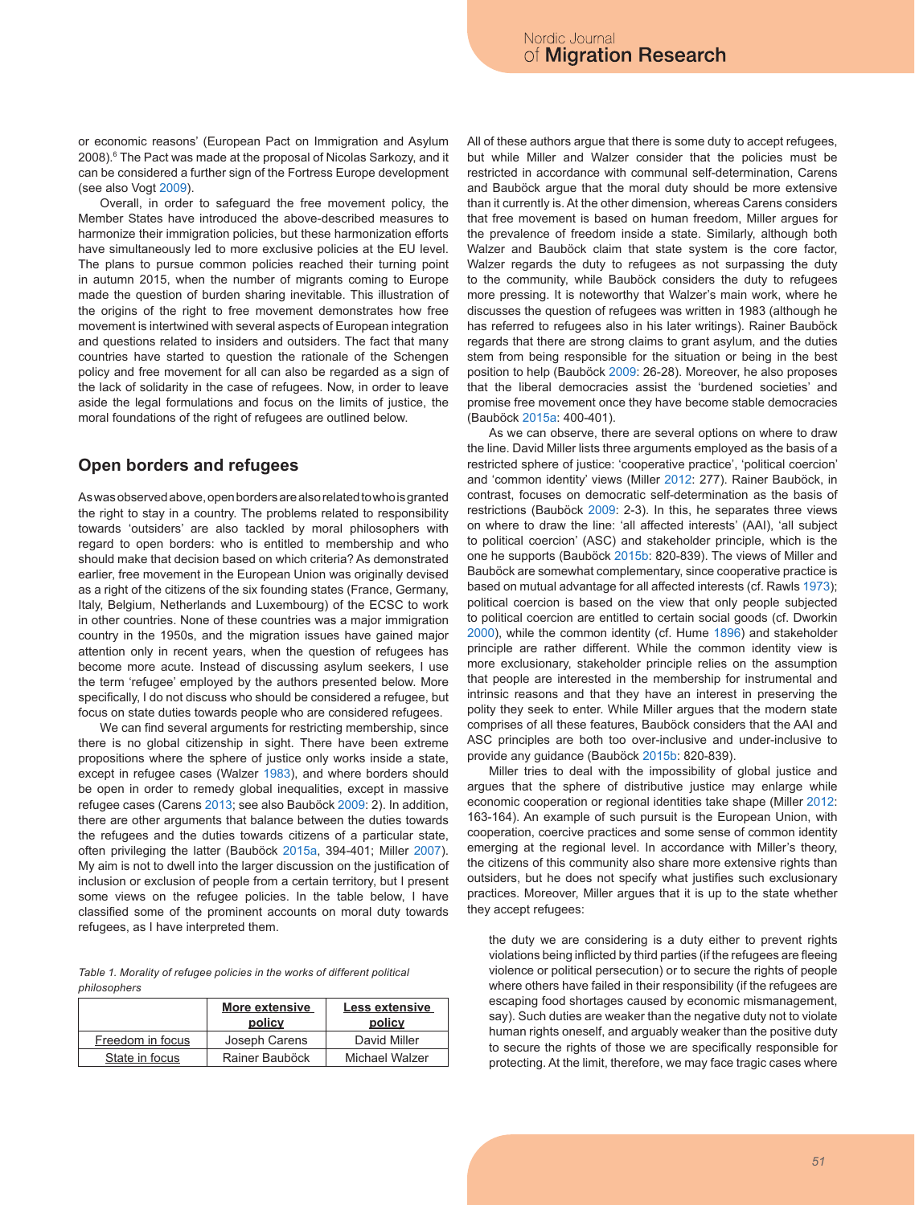or economic reasons' (European Pact on Immigration and Asylum 2008).<sup>6</sup> The Pact was made at the proposal of Nicolas Sarkozy, and it can be considered a further sign of the Fortress Europe development (see also Vogt 2009).

Overall, in order to safeguard the free movement policy, the Member States have introduced the above-described measures to harmonize their immigration policies, but these harmonization efforts have simultaneously led to more exclusive policies at the EU level. The plans to pursue common policies reached their turning point in autumn 2015, when the number of migrants coming to Europe made the question of burden sharing inevitable. This illustration of the origins of the right to free movement demonstrates how free movement is intertwined with several aspects of European integration and questions related to insiders and outsiders. The fact that many countries have started to question the rationale of the Schengen policy and free movement for all can also be regarded as a sign of the lack of solidarity in the case of refugees. Now, in order to leave aside the legal formulations and focus on the limits of justice, the moral foundations of the right of refugees are outlined below.

# **Open borders and refugees**

As was observed above, open borders are also related to who is granted the right to stay in a country. The problems related to responsibility towards 'outsiders' are also tackled by moral philosophers with regard to open borders: who is entitled to membership and who should make that decision based on which criteria? As demonstrated earlier, free movement in the European Union was originally devised as a right of the citizens of the six founding states (France, Germany, Italy, Belgium, Netherlands and Luxembourg) of the ECSC to work in other countries. None of these countries was a major immigration country in the 1950s, and the migration issues have gained major attention only in recent years, when the question of refugees has become more acute. Instead of discussing asylum seekers, I use the term 'refugee' employed by the authors presented below. More specifically, I do not discuss who should be considered a refugee, but focus on state duties towards people who are considered refugees.

We can find several arguments for restricting membership, since there is no global citizenship in sight. There have been extreme propositions where the sphere of justice only works inside a state, except in refugee cases (Walzer 1983), and where borders should be open in order to remedy global inequalities, except in massive refugee cases (Carens 2013; see also Bauböck 2009: 2). In addition, there are other arguments that balance between the duties towards the refugees and the duties towards citizens of a particular state, often privileging the latter (Bauböck 2015a, 394-401; Miller 2007). My aim is not to dwell into the larger discussion on the justification of inclusion or exclusion of people from a certain territory, but I present some views on the refugee policies. In the table below, I have classified some of the prominent accounts on moral duty towards refugees, as I have interpreted them.

*Table 1. Morality of refugee policies in the works of different political philosophers*

|                  | <b>More extensive</b><br>policy | Less extensive<br>policy |
|------------------|---------------------------------|--------------------------|
| Freedom in focus | Joseph Carens                   | David Miller             |
| State in focus   | Rainer Bauböck                  | Michael Walzer           |

All of these authors argue that there is some duty to accept refugees, but while Miller and Walzer consider that the policies must be restricted in accordance with communal self-determination, Carens and Bauböck argue that the moral duty should be more extensive than it currently is. At the other dimension, whereas Carens considers that free movement is based on human freedom, Miller argues for the prevalence of freedom inside a state. Similarly, although both Walzer and Bauböck claim that state system is the core factor, Walzer regards the duty to refugees as not surpassing the duty to the community, while Bauböck considers the duty to refugees more pressing. It is noteworthy that Walzer's main work, where he discusses the question of refugees was written in 1983 (although he has referred to refugees also in his later writings). Rainer Bauböck regards that there are strong claims to grant asylum, and the duties stem from being responsible for the situation or being in the best position to help (Bauböck 2009: 26-28). Moreover, he also proposes that the liberal democracies assist the 'burdened societies' and promise free movement once they have become stable democracies (Bauböck 2015a: 400-401).

As we can observe, there are several options on where to draw the line. David Miller lists three arguments employed as the basis of a restricted sphere of justice: 'cooperative practice', 'political coercion' and 'common identity' views (Miller 2012: 277). Rainer Bauböck, in contrast, focuses on democratic self-determination as the basis of restrictions (Bauböck 2009: 2-3). In this, he separates three views on where to draw the line: 'all affected interests' (AAI), 'all subject to political coercion' (ASC) and stakeholder principle, which is the one he supports (Bauböck 2015b: 820-839). The views of Miller and Bauböck are somewhat complementary, since cooperative practice is based on mutual advantage for all affected interests (cf. Rawls 1973); political coercion is based on the view that only people subjected to political coercion are entitled to certain social goods (cf. Dworkin 2000), while the common identity (cf. Hume 1896) and stakeholder principle are rather different. While the common identity view is more exclusionary, stakeholder principle relies on the assumption that people are interested in the membership for instrumental and intrinsic reasons and that they have an interest in preserving the polity they seek to enter. While Miller argues that the modern state comprises of all these features, Bauböck considers that the AAI and ASC principles are both too over-inclusive and under-inclusive to provide any guidance (Bauböck 2015b: 820-839).

Miller tries to deal with the impossibility of global justice and argues that the sphere of distributive justice may enlarge while economic cooperation or regional identities take shape (Miller 2012: 163-164). An example of such pursuit is the European Union, with cooperation, coercive practices and some sense of common identity emerging at the regional level. In accordance with Miller's theory, the citizens of this community also share more extensive rights than outsiders, but he does not specify what justifies such exclusionary practices. Moreover, Miller argues that it is up to the state whether they accept refugees:

the duty we are considering is a duty either to prevent rights violations being inflicted by third parties (if the refugees are fleeing violence or political persecution) or to secure the rights of people where others have failed in their responsibility (if the refugees are escaping food shortages caused by economic mismanagement, say). Such duties are weaker than the negative duty not to violate human rights oneself, and arguably weaker than the positive duty to secure the rights of those we are specifically responsible for protecting. At the limit, therefore, we may face tragic cases where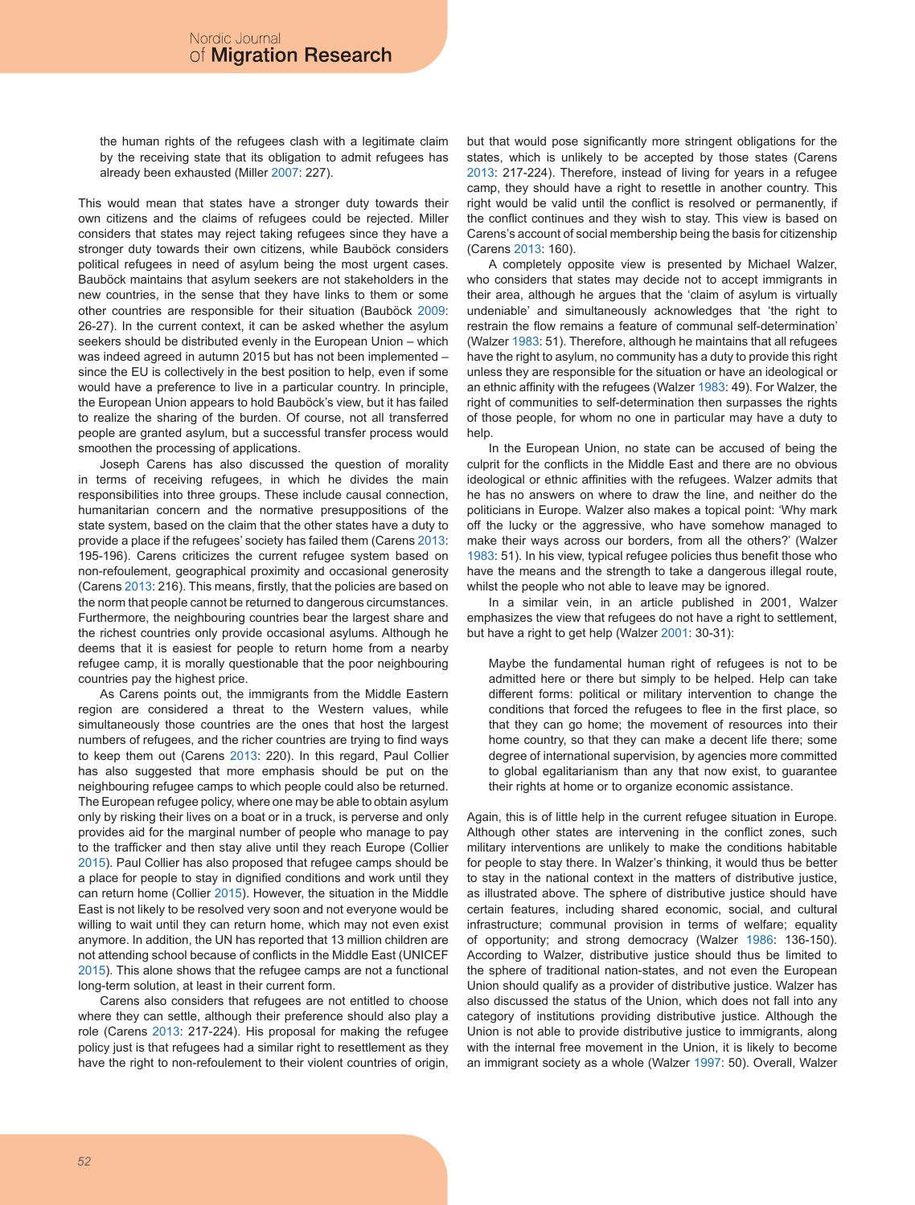the human rights of the refugees clash with a legitimate claim by the receiving state that its obligation to admit refugees has already been exhausted (Miller 2007: 227).

This would mean that states have a stronger duty towards their own citizens and the claims of refugees could be rejected. Miller considers that states may reject taking refugees since they have a stronger duty towards their own citizens, while Bauböck considers political refugees in need of asylum being the most urgent cases. Bauböck maintains that asylum seekers are not stakeholders in the new countries, in the sense that they have links to them or some other countries are responsible for their situation (Bauböck 2009: 26-27). In the current context, it can be asked whether the asylum seekers should be distributed evenly in the European Union – which was indeed agreed in autumn 2015 but has not been implemented – since the EU is collectively in the best position to help, even if some would have a preference to live in a particular country. In principle, the European Union appears to hold Bauböck's view, but it has failed to realize the sharing of the burden. Of course, not all transferred people are granted asylum, but a successful transfer process would smoothen the processing of applications.

Joseph Carens has also discussed the question of morality in terms of receiving refugees, in which he divides the main responsibilities into three groups. These include causal connection, humanitarian concern and the normative presuppositions of the state system, based on the claim that the other states have a duty to provide a place if the refugees' society has failed them (Carens 2013: 195-196). Carens criticizes the current refugee system based on non-refoulement, geographical proximity and occasional generosity (Carens 2013: 216). This means, firstly, that the policies are based on the norm that people cannot be returned to dangerous circumstances. Furthermore, the neighbouring countries bear the largest share and the richest countries only provide occasional asylums. Although he deems that it is easiest for people to return home from a nearby refugee camp, it is morally questionable that the poor neighbouring countries pay the highest price.

As Carens points out, the immigrants from the Middle Eastern region are considered a threat to the Western values, while simultaneously those countries are the ones that host the largest numbers of refugees, and the richer countries are trying to find ways to keep them out (Carens 2013: 220). In this regard, Paul Collier has also suggested that more emphasis should be put on the neighbouring refugee camps to which people could also be returned. The European refugee policy, where one may be able to obtain asylum only by risking their lives on a boat or in a truck, is perverse and only provides aid for the marginal number of people who manage to pay to the trafficker and then stay alive until they reach Europe (Collier 2015). Paul Collier has also proposed that refugee camps should be a place for people to stay in dignified conditions and work until they can return home (Collier 2015). However, the situation in the Middle East is not likely to be resolved very soon and not everyone would be willing to wait until they can return home, which may not even exist anymore. In addition, the UN has reported that 13 million children are not attending school because of conflicts in the Middle East (UNICEF 2015). This alone shows that the refugee camps are not a functional long-term solution, at least in their current form.

Carens also considers that refugees are not entitled to choose where they can settle, although their preference should also play a role (Carens 2013: 217-224). His proposal for making the refugee policy just is that refugees had a similar right to resettlement as they have the right to non-refoulement to their violent countries of origin, but that would pose significantly more stringent obligations for the states, which is unlikely to be accepted by those states (Carens 2013: 217-224). Therefore, instead of living for years in a refugee camp, they should have a right to resettle in another country. This right would be valid until the conflict is resolved or permanently, if the conflict continues and they wish to stay. This view is based on Carens's account of social membership being the basis for citizenship (Carens 2013: 160).

A completely opposite view is presented by Michael Walzer, who considers that states may decide not to accept immigrants in their area, although he argues that the 'claim of asylum is virtually undeniable' and simultaneously acknowledges that 'the right to restrain the flow remains a feature of communal self-determination' (Walzer 1983: 51). Therefore, although he maintains that all refugees have the right to asylum, no community has a duty to provide this right unless they are responsible for the situation or have an ideological or an ethnic affinity with the refugees (Walzer 1983: 49). For Walzer, the right of communities to self-determination then surpasses the rights of those people, for whom no one in particular may have a duty to help.

In the European Union, no state can be accused of being the culprit for the conflicts in the Middle East and there are no obvious ideological or ethnic affinities with the refugees. Walzer admits that he has no answers on where to draw the line, and neither do the politicians in Europe. Walzer also makes a topical point: 'Why mark off the lucky or the aggressive, who have somehow managed to make their ways across our borders, from all the others?' (Walzer 1983: 51). In his view, typical refugee policies thus benefit those who have the means and the strength to take a dangerous illegal route, whilst the people who not able to leave may be ignored.

In a similar vein, in an article published in 2001, Walzer emphasizes the view that refugees do not have a right to settlement, but have a right to get help (Walzer 2001: 30-31):

Maybe the fundamental human right of refugees is not to be admitted here or there but simply to be helped. Help can take different forms: political or military intervention to change the conditions that forced the refugees to flee in the first place, so that they can go home; the movement of resources into their home country, so that they can make a decent life there; some degree of international supervision, by agencies more committed to global egalitarianism than any that now exist, to guarantee their rights at home or to organize economic assistance.

Again, this is of little help in the current refugee situation in Europe. Although other states are intervening in the conflict zones, such military interventions are unlikely to make the conditions habitable for people to stay there. In Walzer's thinking, it would thus be better to stay in the national context in the matters of distributive justice, as illustrated above. The sphere of distributive justice should have certain features, including shared economic, social, and cultural infrastructure; communal provision in terms of welfare; equality of opportunity; and strong democracy (Walzer 1986: 136-150). According to Walzer, distributive justice should thus be limited to the sphere of traditional nation-states, and not even the European Union should qualify as a provider of distributive justice. Walzer has also discussed the status of the Union, which does not fall into any category of institutions providing distributive justice. Although the Union is not able to provide distributive justice to immigrants, along with the internal free movement in the Union, it is likely to become an immigrant society as a whole (Walzer 1997: 50). Overall, Walzer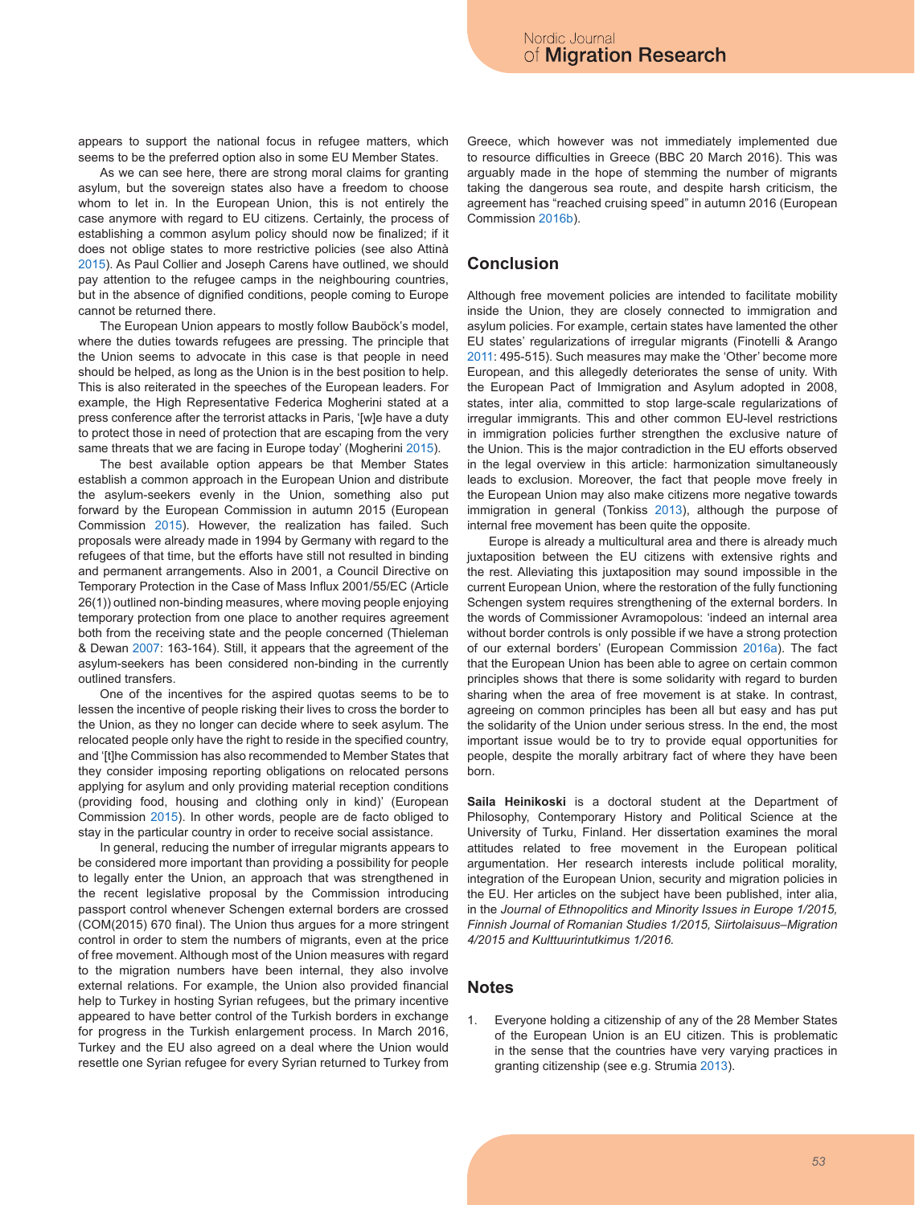appears to support the national focus in refugee matters, which seems to be the preferred option also in some EU Member States.

As we can see here, there are strong moral claims for granting asylum, but the sovereign states also have a freedom to choose whom to let in. In the European Union, this is not entirely the case anymore with regard to EU citizens. Certainly, the process of establishing a common asylum policy should now be finalized; if it does not oblige states to more restrictive policies (see also Attinà 2015). As Paul Collier and Joseph Carens have outlined, we should pay attention to the refugee camps in the neighbouring countries, but in the absence of dignified conditions, people coming to Europe cannot be returned there.

The European Union appears to mostly follow Bauböck's model, where the duties towards refugees are pressing. The principle that the Union seems to advocate in this case is that people in need should be helped, as long as the Union is in the best position to help. This is also reiterated in the speeches of the European leaders. For example, the High Representative Federica Mogherini stated at a press conference after the terrorist attacks in Paris, '[w]e have a duty to protect those in need of protection that are escaping from the very same threats that we are facing in Europe today' (Mogherini 2015).

The best available option appears be that Member States establish a common approach in the European Union and distribute the asylum-seekers evenly in the Union, something also put forward by the European Commission in autumn 2015 (European Commission 2015). However, the realization has failed. Such proposals were already made in 1994 by Germany with regard to the refugees of that time, but the efforts have still not resulted in binding and permanent arrangements. Also in 2001, a Council Directive on Temporary Protection in the Case of Mass Influx 2001/55/EC (Article 26(1)) outlined non-binding measures, where moving people enjoying temporary protection from one place to another requires agreement both from the receiving state and the people concerned (Thieleman & Dewan 2007: 163-164). Still, it appears that the agreement of the asylum-seekers has been considered non-binding in the currently outlined transfers.

One of the incentives for the aspired quotas seems to be to lessen the incentive of people risking their lives to cross the border to the Union, as they no longer can decide where to seek asylum. The relocated people only have the right to reside in the specified country, and '[t]he Commission has also recommended to Member States that they consider imposing reporting obligations on relocated persons applying for asylum and only providing material reception conditions (providing food, housing and clothing only in kind)' (European Commission 2015). In other words, people are de facto obliged to stay in the particular country in order to receive social assistance.

In general, reducing the number of irregular migrants appears to be considered more important than providing a possibility for people to legally enter the Union, an approach that was strengthened in the recent legislative proposal by the Commission introducing passport control whenever Schengen external borders are crossed (COM(2015) 670 final). The Union thus argues for a more stringent control in order to stem the numbers of migrants, even at the price of free movement. Although most of the Union measures with regard to the migration numbers have been internal, they also involve external relations. For example, the Union also provided financial help to Turkey in hosting Syrian refugees, but the primary incentive appeared to have better control of the Turkish borders in exchange for progress in the Turkish enlargement process. In March 2016, Turkey and the EU also agreed on a deal where the Union would resettle one Syrian refugee for every Syrian returned to Turkey from

Greece, which however was not immediately implemented due to resource difficulties in Greece (BBC 20 March 2016). This was arguably made in the hope of stemming the number of migrants taking the dangerous sea route, and despite harsh criticism, the agreement has "reached cruising speed" in autumn 2016 (European Commission 2016b).

# **Conclusion**

Although free movement policies are intended to facilitate mobility inside the Union, they are closely connected to immigration and asylum policies. For example, certain states have lamented the other EU states' regularizations of irregular migrants (Finotelli & Arango 2011: 495-515). Such measures may make the 'Other' become more European, and this allegedly deteriorates the sense of unity. With the European Pact of Immigration and Asylum adopted in 2008, states, inter alia, committed to stop large-scale regularizations of irregular immigrants. This and other common EU-level restrictions in immigration policies further strengthen the exclusive nature of the Union. This is the major contradiction in the EU efforts observed in the legal overview in this article: harmonization simultaneously leads to exclusion. Moreover, the fact that people move freely in the European Union may also make citizens more negative towards immigration in general (Tonkiss 2013), although the purpose of internal free movement has been quite the opposite.

Europe is already a multicultural area and there is already much juxtaposition between the EU citizens with extensive rights and the rest. Alleviating this juxtaposition may sound impossible in the current European Union, where the restoration of the fully functioning Schengen system requires strengthening of the external borders. In the words of Commissioner Avramopolous: 'indeed an internal area without border controls is only possible if we have a strong protection of our external borders' (European Commission 2016a). The fact that the European Union has been able to agree on certain common principles shows that there is some solidarity with regard to burden sharing when the area of free movement is at stake. In contrast, agreeing on common principles has been all but easy and has put the solidarity of the Union under serious stress. In the end, the most important issue would be to try to provide equal opportunities for people, despite the morally arbitrary fact of where they have been born.

**Saila Heinikoski** is a doctoral student at the Department of Philosophy, Contemporary History and Political Science at the University of Turku, Finland. Her dissertation examines the moral attitudes related to free movement in the European political argumentation. Her research interests include political morality, integration of the European Union, security and migration policies in the EU. Her articles on the subject have been published, inter alia, in the *Journal of Ethnopolitics and Minority Issues in Europe 1/2015, Finnish Journal of Romanian Studies 1/2015, Siirtolaisuus–Migration 4/2015 and Kulttuurintutkimus 1/2016.*

### **Notes**

1. Everyone holding a citizenship of any of the 28 Member States of the European Union is an EU citizen. This is problematic in the sense that the countries have very varying practices in granting citizenship (see e.g. Strumia 2013).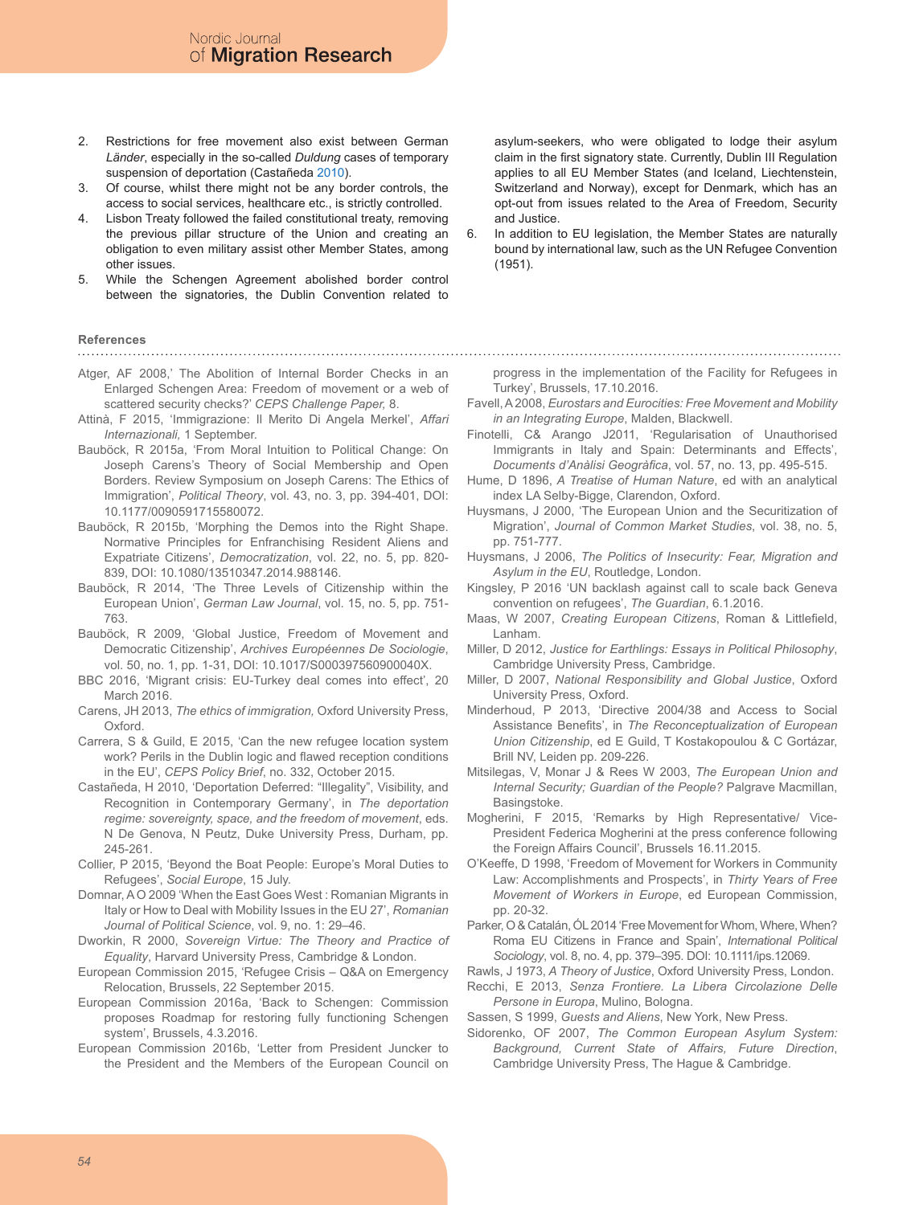- 2. Restrictions for free movement also exist between German *Länder*, especially in the so-called *Duldung* cases of temporary suspension of deportation (Castañeda 2010).
- 3. Of course, whilst there might not be any border controls, the access to social services, healthcare etc., is strictly controlled.
- 4. Lisbon Treaty followed the failed constitutional treaty, removing the previous pillar structure of the Union and creating an obligation to even military assist other Member States, among other issues.
- 5. While the Schengen Agreement abolished border control between the signatories, the Dublin Convention related to

### **References**

Atger, AF 2008,' The Abolition of Internal Border Checks in an Enlarged Schengen Area: Freedom of movement or a web of scattered security checks?' *CEPS Challenge Paper,* 8.

- Attinà, F 2015, 'Immigrazione: Il Merito Di Angela Merkel', *Affari Internazionali,* 1 September.
- Bauböck, R 2015a, 'From Moral Intuition to Political Change: On Joseph Carens's Theory of Social Membership and Open Borders. Review Symposium on Joseph Carens: The Ethics of Immigration', *Political Theory*, vol. 43, no. 3, pp. 394-401, DOI: 10.1177/0090591715580072.
- Bauböck, R 2015b, 'Morphing the Demos into the Right Shape. Normative Principles for Enfranchising Resident Aliens and Expatriate Citizens', *Democratization*, vol. 22, no. 5, pp. 820- 839, DOI: 10.1080/13510347.2014.988146.
- Bauböck, R 2014, 'The Three Levels of Citizenship within the European Union', *German Law Journal*, vol. 15, no. 5, pp. 751- 763.
- Bauböck, R 2009, 'Global Justice, Freedom of Movement and Democratic Citizenship', *Archives Européennes De Sociologie*, vol. 50, no. 1, pp. 1-31, DOI: 10.1017/S000397560900040X.
- BBC 2016, 'Migrant crisis: EU-Turkey deal comes into effect', 20 March 2016.
- Carens, JH 2013, *The ethics of immigration,* Oxford University Press, Oxford.
- Carrera, S & Guild, E 2015, 'Can the new refugee location system work? Perils in the Dublin logic and flawed reception conditions in the EU', *CEPS Policy Brief*, no. 332, October 2015.
- Castañeda, H 2010, 'Deportation Deferred: "Illegality", Visibility, and Recognition in Contemporary Germany', in *The deportation regime: sovereignty, space, and the freedom of movement*, eds. N De Genova, N Peutz, Duke University Press, Durham, pp. 245-261.
- Collier, P 2015, 'Beyond the Boat People: Europe's Moral Duties to Refugees', *Social Europe*, 15 July.
- Domnar, A O 2009 'When the East Goes West : Romanian Migrants in Italy or How to Deal with Mobility Issues in the EU 27', *Romanian Journal of Political Science*, vol. 9, no. 1: 29–46.
- Dworkin, R 2000, *Sovereign Virtue: The Theory and Practice of Equality*, Harvard University Press, Cambridge & London.
- European Commission 2015, 'Refugee Crisis Q&A on Emergency Relocation, Brussels, 22 September 2015.
- European Commission 2016a, 'Back to Schengen: Commission proposes Roadmap for restoring fully functioning Schengen system', Brussels, 4.3.2016.
- European Commission 2016b, 'Letter from President Juncker to the President and the Members of the European Council on

asylum-seekers, who were obligated to lodge their asylum claim in the first signatory state. Currently, Dublin III Regulation applies to all EU Member States (and Iceland, Liechtenstein, Switzerland and Norway), except for Denmark, which has an opt-out from issues related to the Area of Freedom, Security and Justice.

6. In addition to EU legislation, the Member States are naturally bound by international law, such as the UN Refugee Convention (1951).

progress in the implementation of the Facility for Refugees in Turkey', Brussels, 17.10.2016.

- Favell, A 2008, *Eurostars and Eurocities: Free Movement and Mobility in an Integrating Europe*, Malden, Blackwell.
- Finotelli, C& Arango J2011, 'Regularisation of Unauthorised Immigrants in Italy and Spain: Determinants and Effects', *Documents d'Anàlisi Geogràfica*, vol. 57, no. 13, pp. 495-515.
- Hume, D 1896, *A Treatise of Human Nature*, ed with an analytical index LA Selby-Bigge, Clarendon, Oxford.
- Huysmans, J 2000, 'The European Union and the Securitization of Migration', *Journal of Common Market Studies*, vol. 38, no. 5, pp. 751-777.
- Huysmans, J 2006, *The Politics of Insecurity: Fear, Migration and Asylum in the EU*, Routledge, London.
- Kingsley, P 2016 'UN backlash against call to scale back Geneva convention on refugees', *The Guardian*, 6.1.2016.
- Maas, W 2007, *Creating European Citizens*, Roman & Littlefield, Lanham.
- Miller, D 2012, *Justice for Earthlings: Essays in Political Philosophy*, Cambridge University Press, Cambridge.
- Miller, D 2007, *National Responsibility and Global Justice*, Oxford University Press, Oxford.
- Minderhoud, P 2013, 'Directive 2004/38 and Access to Social Assistance Benefits', in *The Reconceptualization of European Union Citizenship*, ed E Guild, T Kostakopoulou & C Gortázar, Brill NV, Leiden pp. 209-226.
- Mitsilegas, V, Monar J & Rees W 2003, *The European Union and Internal Security; Guardian of the People?* Palgrave Macmillan, Basingstoke.
- Mogherini, F 2015, 'Remarks by High Representative/ Vice-President Federica Mogherini at the press conference following the Foreign Affairs Council', Brussels 16.11.2015.
- O'Keeffe, D 1998, 'Freedom of Movement for Workers in Community Law: Accomplishments and Prospects', in *Thirty Years of Free Movement of Workers in Europe*, ed European Commission, pp. 20-32.
- Parker, O & Catalán, ÓL 2014 'Free Movement for Whom, Where, When? Roma EU Citizens in France and Spain', *International Political Sociology*, vol. 8, no. 4, pp. 379–395. DOI: 10.1111/ips.12069.
- Rawls, J 1973, *A Theory of Justice*, Oxford University Press, London.
- Recchi, E 2013, *Senza Frontiere. La Libera Circolazione Delle Persone in Europa*, Mulino, Bologna.
- Sassen, S 1999, *Guests and Aliens*, New York, New Press.
- Sidorenko, OF 2007, *The Common European Asylum System: Background, Current State of Affairs, Future Direction*, Cambridge University Press, The Hague & Cambridge.